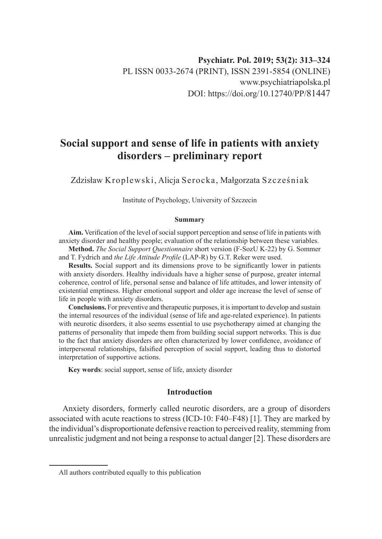# **Social support and sense of life in patients with anxiety disorders – preliminary report**

Zdzisław Kroplewski, Alicja Serocka, Małgorzata Szcześniak

Institute of Psychology, University of Szczecin

#### **Summary**

**Aim.** Verification of the level of social support perception and sense of life in patients with anxiety disorder and healthy people; evaluation of the relationship between these variables.

**Method.** *The Social Support Questionnaire* short version (F-SozU K-22) by G. Sommer and T. Fydrich and *the Life Attitude Profile* (LAP-R) by G.T. Reker were used.

**Results.** Social support and its dimensions prove to be significantly lower in patients with anxiety disorders. Healthy individuals have a higher sense of purpose, greater internal coherence, control of life, personal sense and balance of life attitudes, and lower intensity of existential emptiness. Higher emotional support and older age increase the level of sense of life in people with anxiety disorders.

**Conclusions.** For preventive and therapeutic purposes, it is important to develop and sustain the internal resources of the individual (sense of life and age-related experience). In patients with neurotic disorders, it also seems essential to use psychotherapy aimed at changing the patterns of personality that impede them from building social support networks. This is due to the fact that anxiety disorders are often characterized by lower confidence, avoidance of interpersonal relationships, falsified perception of social support, leading thus to distorted interpretation of supportive actions.

**Key words**: social support, sense of life, anxiety disorder

## **Introduction**

Anxiety disorders, formerly called neurotic disorders, are a group of disorders associated with acute reactions to stress (ICD-10: F40–F48) [1]. They are marked by the individual's disproportionate defensive reaction to perceived reality, stemming from unrealistic judgment and not being a response to actual danger [2]. These disorders are

All authors contributed equally to this publication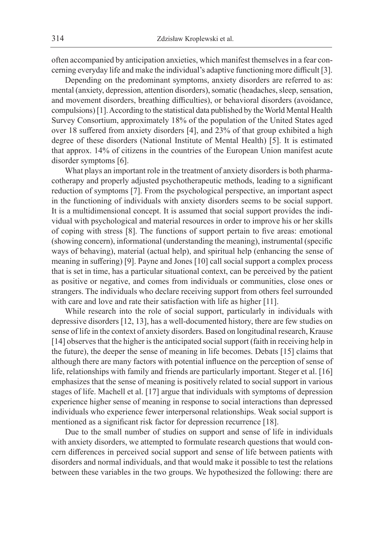often accompanied by anticipation anxieties, which manifest themselves in a fear concerning everyday life and make the individual's adaptive functioning more difficult [3].

Depending on the predominant symptoms, anxiety disorders are referred to as: mental (anxiety, depression, attention disorders), somatic (headaches, sleep, sensation, and movement disorders, breathing difficulties), or behavioral disorders (avoidance, compulsions) [1]. According to the statistical data published by the World Mental Health Survey Consortium, approximately 18% of the population of the United States aged over 18 suffered from anxiety disorders [4], and 23% of that group exhibited a high degree of these disorders (National Institute of Mental Health) [5]. It is estimated that approx. 14% of citizens in the countries of the European Union manifest acute disorder symptoms [6].

What plays an important role in the treatment of anxiety disorders is both pharmacotherapy and properly adjusted psychotherapeutic methods, leading to a significant reduction of symptoms [7]. From the psychological perspective, an important aspect in the functioning of individuals with anxiety disorders seems to be social support. It is a multidimensional concept. It is assumed that social support provides the individual with psychological and material resources in order to improve his or her skills of coping with stress [8]. The functions of support pertain to five areas: emotional (showing concern), informational (understanding the meaning), instrumental (specific ways of behaving), material (actual help), and spiritual help (enhancing the sense of meaning in suffering) [9]. Payne and Jones [10] call social support a complex process that is set in time, has a particular situational context, can be perceived by the patient as positive or negative, and comes from individuals or communities, close ones or strangers. The individuals who declare receiving support from others feel surrounded with care and love and rate their satisfaction with life as higher [11].

While research into the role of social support, particularly in individuals with depressive disorders [12, 13], has a well-documented history, there are few studies on sense of life in the context of anxiety disorders. Based on longitudinal research, Krause [14] observes that the higher is the anticipated social support (faith in receiving help in the future), the deeper the sense of meaning in life becomes. Debats [15] claims that although there are many factors with potential influence on the perception of sense of life, relationships with family and friends are particularly important. Steger et al. [16] emphasizes that the sense of meaning is positively related to social support in various stages of life. Machell et al. [17] argue that individuals with symptoms of depression experience higher sense of meaning in response to social interactions than depressed individuals who experience fewer interpersonal relationships. Weak social support is mentioned as a significant risk factor for depression recurrence [18].

Due to the small number of studies on support and sense of life in individuals with anxiety disorders, we attempted to formulate research questions that would concern differences in perceived social support and sense of life between patients with disorders and normal individuals, and that would make it possible to test the relations between these variables in the two groups. We hypothesized the following: there are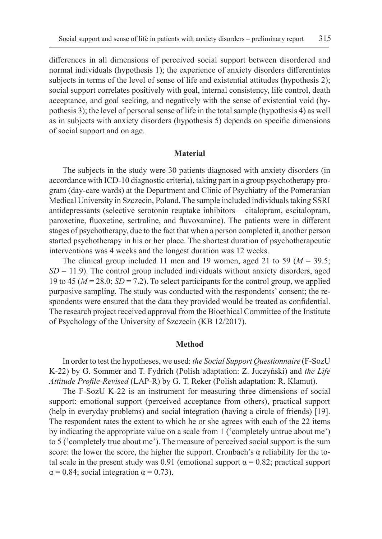differences in all dimensions of perceived social support between disordered and normal individuals (hypothesis 1); the experience of anxiety disorders differentiates subjects in terms of the level of sense of life and existential attitudes (hypothesis 2); social support correlates positively with goal, internal consistency, life control, death acceptance, and goal seeking, and negatively with the sense of existential void (hypothesis 3); the level of personal sense of life in the total sample (hypothesis 4) as well as in subjects with anxiety disorders (hypothesis 5) depends on specific dimensions of social support and on age.

#### **Material**

The subjects in the study were 30 patients diagnosed with anxiety disorders (in accordance with ICD-10 diagnostic criteria), taking part in a group psychotherapy program (day-care wards) at the Department and Clinic of Psychiatry of the Pomeranian Medical University in Szczecin, Poland. The sample included individuals taking SSRI antidepressants (selective serotonin reuptake inhibitors – citalopram, escitalopram, paroxetine, fluoxetine, sertraline, and fluvoxamine). The patients were in different stages of psychotherapy, due to the fact that when a person completed it, another person started psychotherapy in his or her place. The shortest duration of psychotherapeutic interventions was 4 weeks and the longest duration was 12 weeks.

The clinical group included 11 men and 19 women, aged 21 to 59 (*M* = 39.5;  $SD = 11.9$ ). The control group included individuals without anxiety disorders, aged 19 to 45 ( $M = 28.0$ ;  $SD = 7.2$ ). To select participants for the control group, we applied purposive sampling. The study was conducted with the respondents' consent; the respondents were ensured that the data they provided would be treated as confidential. The research project received approval from the Bioethical Committee of the Institute of Psychology of the University of Szczecin (KB 12/2017).

## **Method**

In order to test the hypotheses, we used: *the Social Support Questionnaire* (F-SozU K-22) by G. Sommer and T. Fydrich (Polish adaptation: Z. Juczyński) and *the Life Attitude Profile-Revised* (LAP-R) by G. T. Reker (Polish adaptation: R. Klamut).

The F-SozU K-22 is an instrument for measuring three dimensions of social support: emotional support (perceived acceptance from others), practical support (help in everyday problems) and social integration (having a circle of friends) [19]. The respondent rates the extent to which he or she agrees with each of the 22 items by indicating the appropriate value on a scale from 1 ('completely untrue about me') to 5 ('completely true about me'). The measure of perceived social support is the sum score: the lower the score, the higher the support. Cronbach's α reliability for the total scale in the present study was 0.91 (emotional support  $\alpha = 0.82$ ; practical support  $\alpha$  = 0.84; social integration  $\alpha$  = 0.73).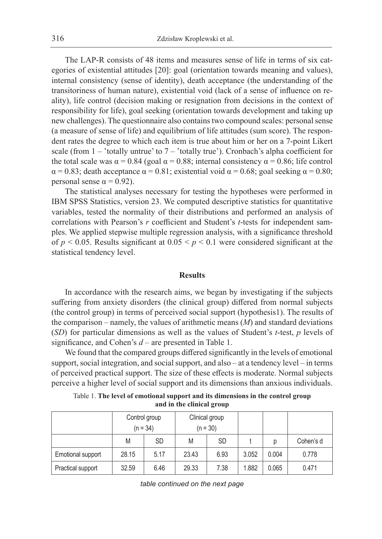The LAP-R consists of 48 items and measures sense of life in terms of six categories of existential attitudes [20]: goal (orientation towards meaning and values), internal consistency (sense of identity), death acceptance (the understanding of the transitoriness of human nature), existential void (lack of a sense of influence on reality), life control (decision making or resignation from decisions in the context of responsibility for life), goal seeking (orientation towards development and taking up new challenges). The questionnaire also contains two compound scales: personal sense (a measure of sense of life) and equilibrium of life attitudes (sum score). The respondent rates the degree to which each item is true about him or her on a 7-point Likert scale (from  $1 -$  'totally untrue' to  $7 -$  'totally true'). Cronbach's alpha coefficient for the total scale was  $\alpha = 0.84$  (goal  $\alpha = 0.88$ ; internal consistency  $\alpha = 0.86$ ; life control  $\alpha = 0.83$ ; death acceptance  $\alpha = 0.81$ ; existential void  $\alpha = 0.68$ ; goal seeking  $\alpha = 0.80$ ; personal sense  $α = 0.92$ ).

The statistical analyses necessary for testing the hypotheses were performed in IBM SPSS Statistics, version 23. We computed descriptive statistics for quantitative variables, tested the normality of their distributions and performed an analysis of correlations with Pearson's *r* coefficient and Student's *t*-tests for independent samples. We applied stepwise multiple regression analysis, with a significance threshold of  $p < 0.05$ . Results significant at  $0.05 \le p \le 0.1$  were considered significant at the statistical tendency level.

### **Results**

In accordance with the research aims, we began by investigating if the subjects suffering from anxiety disorders (the clinical group) differed from normal subjects (the control group) in terms of perceived social support (hypothesis1). The results of the comparison – namely, the values of arithmetic means (*M*) and standard deviations (*SD*) for particular dimensions as well as the values of Student's *t*-test, *p* levels of significance, and Cohen's *d* – are presented in Table 1.

We found that the compared groups differed significantly in the levels of emotional support, social integration, and social support, and also – at a tendency level – in terms of perceived practical support. The size of these effects is moderate. Normal subjects perceive a higher level of social support and its dimensions than anxious individuals.

Table 1. **The level of emotional support and its dimensions in the control group and in the clinical group**

|                   |       | Control group<br>$(n = 34)$ | Clinical group<br>$(n = 30)$ |           |       |       |           |
|-------------------|-------|-----------------------------|------------------------------|-----------|-------|-------|-----------|
|                   | M     | <b>SD</b>                   | M                            | <b>SD</b> |       | р     | Cohen's d |
| Emotional support | 28.15 | 5.17                        | 23.43                        | 6.93      | 3.052 | 0.004 | 0.778     |
| Practical support | 32.59 | 6.46                        | 29.33                        | 7.38      | 1.882 | 0.065 | 0.471     |

*table continued on the next page*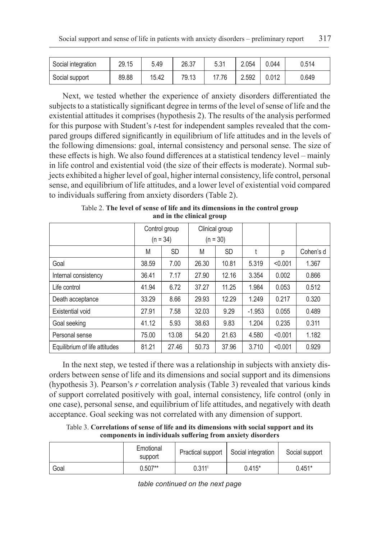| Social integration | 29.15 | 5.49  | 26.37 | 5.31  | 2.054 | 0.044 | 0.514 |
|--------------------|-------|-------|-------|-------|-------|-------|-------|
| Social support     | 89.88 | 15.42 | 79.13 | 17.76 | 2.592 | 0.012 | 0.649 |

Next, we tested whether the experience of anxiety disorders differentiated the subjects to a statistically significant degree in terms of the level of sense of life and the existential attitudes it comprises (hypothesis 2). The results of the analysis performed for this purpose with Student's *t*-test for independent samples revealed that the compared groups differed significantly in equilibrium of life attitudes and in the levels of the following dimensions: goal, internal consistency and personal sense. The size of these effects is high. We also found differences at a statistical tendency level – mainly in life control and existential void (the size of their effects is moderate). Normal subjects exhibited a higher level of goal, higher internal consistency, life control, personal sense, and equilibrium of life attitudes, and a lower level of existential void compared to individuals suffering from anxiety disorders (Table 2).

|                               | Control group |           | Clinical group |           |          |         |           |
|-------------------------------|---------------|-----------|----------------|-----------|----------|---------|-----------|
|                               | $(n = 34)$    |           | $(n = 30)$     |           |          |         |           |
|                               | M             | <b>SD</b> | M              | <b>SD</b> |          | р       | Cohen's d |
| Goal                          | 38.59         | 7.00      | 26.30          | 10.81     | 5.319    | < 0.001 | 1.367     |
| Internal consistency          | 36.41         | 7.17      | 27.90          | 12.16     | 3.354    | 0.002   | 0.866     |
| Life control                  | 41.94         | 6.72      | 37.27          | 11.25     | 1.984    | 0.053   | 0.512     |
| Death acceptance              | 33.29         | 8.66      | 29.93          | 12.29     | 1.249    | 0.217   | 0.320     |
| Existential void              | 27.91         | 7.58      | 32.03          | 9.29      | $-1.953$ | 0.055   | 0.489     |
| Goal seeking                  | 41.12         | 5.93      | 38.63          | 9.83      | 1.204    | 0.235   | 0.311     |
| Personal sense                | 75.00         | 13.08     | 54.20          | 21.63     | 4.580    | < 0.001 | 1.182     |
| Equilibrium of life attitudes | 81.21         | 27.46     | 50.73          | 37.96     | 3.710    | < 0.001 | 0.929     |

Table 2. **The level of sense of life and its dimensions in the control group and in the clinical group**

In the next step, we tested if there was a relationship in subjects with anxiety disorders between sense of life and its dimensions and social support and its dimensions (hypothesis 3). Pearson's *r* correlation analysis (Table 3) revealed that various kinds of support correlated positively with goal, internal consistency, life control (only in one case), personal sense, and equilibrium of life attitudes, and negatively with death acceptance. Goal seeking was not correlated with any dimension of support.

Table 3. **Correlations of sense of life and its dimensions with social support and its components in individuals suffering from anxiety disorders**

|      | Emotional<br>support | Practical support    | Social integration | Social support |
|------|----------------------|----------------------|--------------------|----------------|
| Goal | $0.507**$            | $0.311^{\mathrm{t}}$ | $0.415*$           | $0.451*$       |

*table continued on the next page*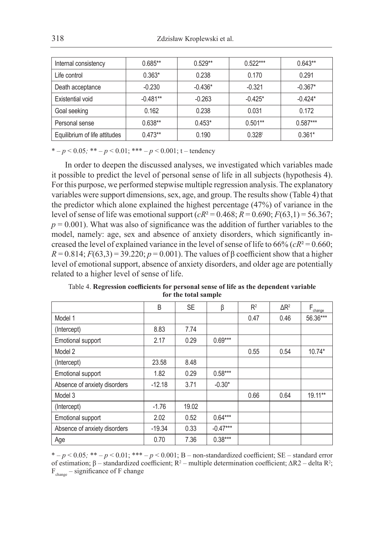| Internal consistency          | $0.685**$  | $0.529**$ | $0.522***$         | $0.643**$  |
|-------------------------------|------------|-----------|--------------------|------------|
| Life control                  | $0.363*$   | 0.238     | 0.170              | 0.291      |
| Death acceptance              | $-0.230$   | $-0.436*$ | $-0.321$           | $-0.367*$  |
| Existential void              | $-0.481**$ | $-0.263$  | $-0.425*$          | $-0.424*$  |
| Goal seeking                  | 0.162      | 0.238     | 0.031              | 0.172      |
| Personal sense                | $0.638**$  | $0.453*$  | $0.501**$          | $0.587***$ |
| Equilibrium of life attitudes | $0.473**$  | 0.190     | 0.328 <sup>t</sup> | $0.361*$   |

\*  $-p < 0.05$ ; \*\*  $-p < 0.01$ ; \*\*\*  $-p < 0.001$ ; t – tendency

In order to deepen the discussed analyses, we investigated which variables made it possible to predict the level of personal sense of life in all subjects (hypothesis 4). For this purpose, we performed stepwise multiple regression analysis. The explanatory variables were support dimensions, sex, age, and group. The results show (Table 4) that the predictor which alone explained the highest percentage (47%) of variance in the level of sense of life was emotional support  $(cR^2 = 0.468; R = 0.690; F(63,1) = 56.367;$  $p = 0.001$ ). What was also of significance was the addition of further variables to the model, namely: age, sex and absence of anxiety disorders, which significantly increased the level of explained variance in the level of sense of life to  $66\%$  ( $cR^2 = 0.660$ ;  $R = 0.814$ ;  $F(63,3) = 39.220$ ;  $p = 0.001$ ). The values of β coefficient show that a higher level of emotional support, absence of anxiety disorders, and older age are potentially related to a higher level of sense of life.

|                              | B        | <b>SE</b> | β          | R <sup>2</sup> | $\Delta$ R <sup>2</sup> | $F_{\underline{\text{change}}}$ |
|------------------------------|----------|-----------|------------|----------------|-------------------------|---------------------------------|
| Model 1                      |          |           |            | 0.47           | 0.46                    | 56.36***                        |
| (Intercept)                  | 8.83     | 7.74      |            |                |                         |                                 |
| Emotional support            | 2.17     | 0.29      | $0.69***$  |                |                         |                                 |
| Model 2                      |          |           |            | 0.55           | 0.54                    | $10.74*$                        |
| (Intercept)                  | 23.58    | 8.48      |            |                |                         |                                 |
| Emotional support            | 1.82     | 0.29      | $0.58***$  |                |                         |                                 |
| Absence of anxiety disorders | $-12.18$ | 3.71      | $-0.30*$   |                |                         |                                 |
| Model 3                      |          |           |            | 0.66           | 0.64                    | $19.11***$                      |
| (Intercept)                  | $-1.76$  | 19.02     |            |                |                         |                                 |
| Emotional support            | 2.02     | 0.52      | $0.64***$  |                |                         |                                 |
| Absence of anxiety disorders | $-19.34$ | 0.33      | $-0.47***$ |                |                         |                                 |
| Age                          | 0.70     | 7.36      | $0.38***$  |                |                         |                                 |

Table 4. **Regression coefficients for personal sense of life as the dependent variable for the total sample**

 $* - p < 0.05$ ;  $** - p < 0.01$ ;  $*** - p < 0.001$ ; B – non-standardized coefficient; SE – standard error of estimation; β *–* standardized coefficient; R<sup>2</sup> *–* multiple determination coefficient; ΔR2 *–* delta R2 ; Fchange *–* significance of F change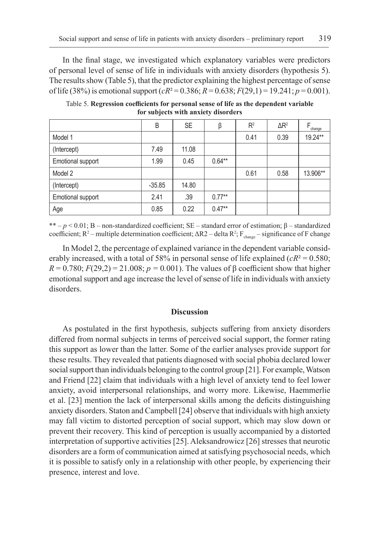In the final stage, we investigated which explanatory variables were predictors of personal level of sense of life in individuals with anxiety disorders (hypothesis 5). The results show (Table 5), that the predictor explaining the highest percentage of sense of life (38%) is emotional support  $(cR^2 = 0.386; R = 0.638; F(29.1) = 19.241; p = 0.001)$ .

|                   | B        | <b>SE</b> | β        | $R^2$ | $\Delta$ R <sup>2</sup> | change   |
|-------------------|----------|-----------|----------|-------|-------------------------|----------|
| Model 1           |          |           |          | 0.41  | 0.39                    | 19.24**  |
| (Intercept)       | 7.49     | 11.08     |          |       |                         |          |
| Emotional support | 1.99     | 0.45      | $0.64**$ |       |                         |          |
| Model 2           |          |           |          | 0.61  | 0.58                    | 13.906** |
| (Intercept)       | $-35.85$ | 14.80     |          |       |                         |          |
| Emotional support | 2.41     | .39       | $0.77**$ |       |                         |          |
| Age               | 0.85     | 0.22      | $0.47**$ |       |                         |          |

Table 5. **Regression coefficients for personal sense of life as the dependent variable for subjects with anxiety disorders**

\*\* *– p* < 0.01; B – non-standardized coefficient; SE *–* standard error of estimation; β *–* standardized coefficient; R<sup>2</sup> – multiple determination coefficient; ΔR2 – delta R<sup>2</sup>; F<sub>change</sub> – significance of F change

In Model 2, the percentage of explained variance in the dependent variable considerably increased, with a total of 58% in personal sense of life explained  $(cR^2 = 0.580;$  $R = 0.780$ ;  $F(29,2) = 21.008$ ;  $p = 0.001$ ). The values of β coefficient show that higher emotional support and age increase the level of sense of life in individuals with anxiety disorders.

### **Discussion**

As postulated in the first hypothesis, subjects suffering from anxiety disorders differed from normal subjects in terms of perceived social support, the former rating this support as lower than the latter. Some of the earlier analyses provide support for these results. They revealed that patients diagnosed with social phobia declared lower social support than individuals belonging to the control group [21]. For example, Watson and Friend [22] claim that individuals with a high level of anxiety tend to feel lower anxiety, avoid interpersonal relationships, and worry more. Likewise, Haemmerlie et al. [23] mention the lack of interpersonal skills among the deficits distinguishing anxiety disorders. Staton and Campbell [24] observe that individuals with high anxiety may fall victim to distorted perception of social support, which may slow down or prevent their recovery. This kind of perception is usually accompanied by a distorted interpretation of supportive activities [25]. Aleksandrowicz [26] stresses that neurotic disorders are a form of communication aimed at satisfying psychosocial needs, which it is possible to satisfy only in a relationship with other people, by experiencing their presence, interest and love.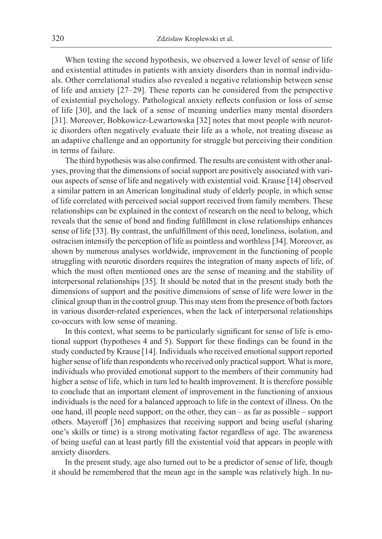When testing the second hypothesis, we observed a lower level of sense of life and existential attitudes in patients with anxiety disorders than in normal individuals. Other correlational studies also revealed a negative relationship between sense of life and anxiety [27–29]. These reports can be considered from the perspective of existential psychology. Pathological anxiety reflects confusion or loss of sense of life [30], and the lack of a sense of meaning underlies many mental disorders [31]. Moreover, Bobkowicz-Lewartowska [32] notes that most people with neurotic disorders often negatively evaluate their life as a whole, not treating disease as an adaptive challenge and an opportunity for struggle but perceiving their condition in terms of failure.

The third hypothesis was also confirmed. The results are consistent with other analyses, proving that the dimensions of social support are positively associated with various aspects of sense of life and negatively with existential void. Krause [14] observed a similar pattern in an American longitudinal study of elderly people, in which sense of life correlated with perceived social support received from family members. These relationships can be explained in the context of research on the need to belong, which reveals that the sense of bond and finding fulfillment in close relationships enhances sense of life [33]. By contrast, the unfulfillment of this need, loneliness, isolation, and ostracism intensify the perception of life as pointless and worthless [34]. Moreover, as shown by numerous analyses worldwide, improvement in the functioning of people struggling with neurotic disorders requires the integration of many aspects of life, of which the most often mentioned ones are the sense of meaning and the stability of interpersonal relationships [35]. It should be noted that in the present study both the dimensions of support and the positive dimensions of sense of life were lower in the clinical group than in the control group. This may stem from the presence of both factors in various disorder-related experiences, when the lack of interpersonal relationships co-occurs with low sense of meaning.

In this context, what seems to be particularly significant for sense of life is emotional support (hypotheses 4 and 5). Support for these findings can be found in the study conducted by Krause [14]. Individuals who received emotional support reported higher sense of life than respondents who received only practical support. What is more, individuals who provided emotional support to the members of their community had higher a sense of life, which in turn led to health improvement. It is therefore possible to conclude that an important element of improvement in the functioning of anxious individuals is the need for a balanced approach to life in the context of illness. On the one hand, ill people need support; on the other, they can – as far as possible – support others. Mayeroff [36] emphasizes that receiving support and being useful (sharing one's skills or time) is a strong motivating factor regardless of age. The awareness of being useful can at least partly fill the existential void that appears in people with anxiety disorders.

In the present study, age also turned out to be a predictor of sense of life, though it should be remembered that the mean age in the sample was relatively high. In nu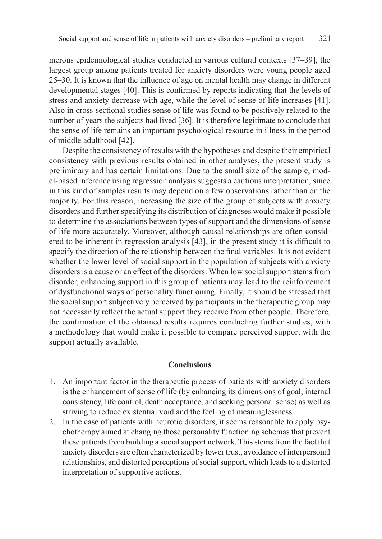merous epidemiological studies conducted in various cultural contexts [37–39], the largest group among patients treated for anxiety disorders were young people aged 25–30. It is known that the influence of age on mental health may change in different developmental stages [40]. This is confirmed by reports indicating that the levels of stress and anxiety decrease with age, while the level of sense of life increases [41]. Also in cross-sectional studies sense of life was found to be positively related to the number of years the subjects had lived [36]. It is therefore legitimate to conclude that the sense of life remains an important psychological resource in illness in the period of middle adulthood [42].

Despite the consistency of results with the hypotheses and despite their empirical consistency with previous results obtained in other analyses, the present study is preliminary and has certain limitations. Due to the small size of the sample, model-based inference using regression analysis suggests a cautious interpretation, since in this kind of samples results may depend on a few observations rather than on the majority. For this reason, increasing the size of the group of subjects with anxiety disorders and further specifying its distribution of diagnoses would make it possible to determine the associations between types of support and the dimensions of sense of life more accurately. Moreover, although causal relationships are often considered to be inherent in regression analysis [43], in the present study it is difficult to specify the direction of the relationship between the final variables. It is not evident whether the lower level of social support in the population of subjects with anxiety disorders is a cause or an effect of the disorders. When low social support stems from disorder, enhancing support in this group of patients may lead to the reinforcement of dysfunctional ways of personality functioning. Finally, it should be stressed that the social support subjectively perceived by participants in the therapeutic group may not necessarily reflect the actual support they receive from other people. Therefore, the confirmation of the obtained results requires conducting further studies, with a methodology that would make it possible to compare perceived support with the support actually available.

## **Conclusions**

- 1. An important factor in the therapeutic process of patients with anxiety disorders is the enhancement of sense of life (by enhancing its dimensions of goal, internal consistency, life control, death acceptance, and seeking personal sense) as well as striving to reduce existential void and the feeling of meaninglessness.
- 2. In the case of patients with neurotic disorders, it seems reasonable to apply psychotherapy aimed at changing those personality functioning schemas that prevent these patients from building a social support network. This stems from the fact that anxiety disorders are often characterized by lower trust, avoidance of interpersonal relationships, and distorted perceptions of social support, which leads to a distorted interpretation of supportive actions.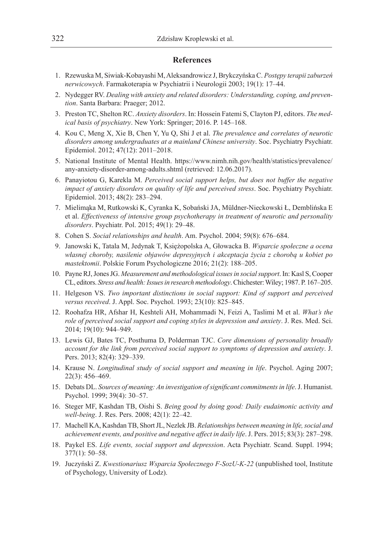## **References**

- 1. Rzewuska M, Siwiak-Kobayashi M, Aleksandrowicz J, Brykczyńska C. *Postępy terapii zaburzeń nerwicowych*. Farmakoterapia w Psychiatrii i Neurologii 2003; 19(1): 17–44.
- 2. Nydegger RV. *Dealing with anxiety and related disorders: Understanding, coping, and prevention*. Santa Barbara: Praeger; 2012.
- 3. Preston TC, Shelton RC. *Anxiety disorders*. In: Hossein Fatemi S, Clayton PJ, editors. *The medical basis of psychiatry*. New York: Springer; 2016. P. 145–168.
- 4. Kou C, Meng X, Xie B, Chen Y, Yu Q, Shi J et al. *The prevalence and correlates of neurotic disorders among undergraduates at a mainland Chinese university*. Soc. Psychiatry Psychiatr. Epidemiol. 2012; 47(12): 2011–2018.
- 5. National Institute of Mental Health. https://www.nimh.nih.gov/health/statistics/prevalence/ any-anxiety-disorder-among-adults.shtml (retrieved: 12.06.2017).
- 6. Panayiotou G, Karekla M. *Perceived social support helps, but does not buffer the negative impact of anxiety disorders on quality of life and perceived stress*. Soc. Psychiatry Psychiatr. Epidemiol. 2013; 48(2): 283–294.
- 7. Mielimąka M, Rutkowski K, Cyranka K, Sobański JA, Müldner-Nieckowski Ł, Demblińska E et al. *Effectiveness of intensive group psychotherapy in treatment of neurotic and personality disorders*. Psychiatr. Pol. 2015; 49(1): 29–48.
- 8. Cohen S. *Social relationships and health*. Am. Psychol. 2004; 59(8): 676–684.
- 9. Janowski K, Tatala M, Jedynak T, Księżopolska A, Głowacka B. *Wsparcie społeczne a ocena własnej choroby, nasilenie objawów depresyjnych i akceptacja życia z chorobą u kobiet po mastektomii*. Polskie Forum Psychologiczne 2016; 21(2): 188–205.
- 10. Payne RJ, Jones JG. *Measurement and methodological issues in social support*. In: Kasl S, Cooper CL, editors. *Stress and health: Issues in research methodology*. Chichester: Wiley; 1987. P. 167–205.
- 11. Helgeson VS. *Two important distinctions in social support: Kind of support and perceived versus received*. J. Appl. Soc. Psychol. 1993; 23(10): 825–845.
- 12. Roohafza HR, Afshar H, Keshteli AH, Mohammadi N, Feizi A, Taslimi M et al. *What's the role of perceived social support and coping styles in depression and anxiety*. J. Res. Med. Sci. 2014; 19(10): 944–949.
- 13. Lewis GJ, Bates TC, Posthuma D, Polderman TJC. *Core dimensions of personality broadly account for the link from perceived social support to symptoms of depression and anxiety*. J. Pers. 2013; 82(4): 329–339.
- 14. Krause N. *Longitudinal study of social support and meaning in life*. Psychol. Aging 2007; 22(3): 456–469.
- 15. Debats DL. *Sources of meaning: An investigation of significant commitments in life*. J. Humanist. Psychol. 1999; 39(4): 30–57.
- 16. Steger MF, Kashdan TB, Oishi S. *Being good by doing good: Daily eudaimonic activity and well-being*. J. Res. Pers. 2008; 42(1): 22–42.
- 17. Machell KA, Kashdan TB, Short JL, Nezlek JB. *Relationships between meaning in life, social and achievement events, and positive and negative affect in daily life*. J. Pers. 2015; 83(3): 287–298.
- 18. Paykel ES. *Life events, social support and depression*. Acta Psychiatr. Scand. Suppl. 1994; 377(1): 50–58.
- 19. Juczyński Z. *Kwestionariusz Wsparcia Społecznego F-SozU-K-22* (unpublished tool, Institute of Psychology, University of Lodz).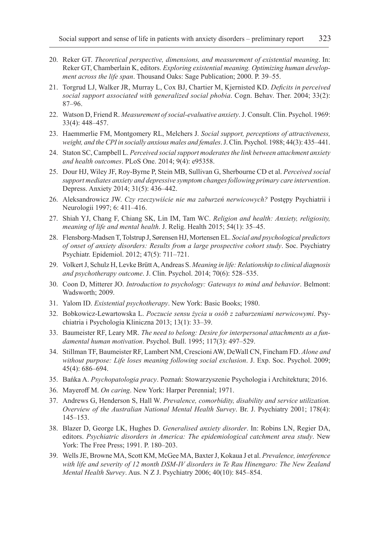- 20. Reker GT. *Theoretical perspective, dimensions, and measurement of existential meaning*. In: Reker GT, Chamberlain K, editors. *Exploring existential meaning. Optimizing human development across the life span*. Thousand Oaks: Sage Publication; 2000. P. 39–55.
- 21. Torgrud LJ, Walker JR, Murray L, Cox BJ, Chartier M, Kjernisted KD. *Deficits in perceived social support associated with generalized social phobia*. Cogn. Behav. Ther. 2004; 33(2): 87–96.
- 22. Watson D, Friend R. *Measurement of social-evaluative anxiety*. J. Consult. Clin. Psychol. 1969: 33(4): 448–457.
- 23. Haemmerlie FM, Montgomery RL, Melchers J. *Social support, perceptions of attractiveness, weight, and the CPI in socially anxious males and females*. J. Clin. Psychol. 1988; 44(3): 435–441.
- 24. Staton SC, Campbell L. *Perceived social support moderates the link between attachment anxiety and health outcomes*. PLoS One. 2014; 9(4): e95358.
- 25. Dour HJ, Wiley JF, Roy-Byrne P, Stein MB, Sullivan G, Sherbourne CD et al. *Perceived social support mediates anxiety and depressive symptom changes following primary care intervention*. Depress. Anxiety 2014; 31(5): 436–442.
- 26. Aleksandrowicz JW. *Czy rzeczywiście nie ma zaburzeń nerwicowych?* Postępy Psychiatrii i Neurologii 1997; 6: 411–416.
- 27. Shiah YJ, Chang F, Chiang SK, Lin IM, Tam WC. *Religion and health: Anxiety, religiosity, meaning of life and mental health*. J. Relig. Health 2015; 54(1): 35–45.
- 28. Flensborg-Madsen T, Tolstrup J, Sørensen HJ, Mortensen EL. *Social and psychological predictors of onset of anxiety disorders: Results from a large prospective cohort study*. Soc. Psychiatry Psychiatr. Epidemiol. 2012; 47(5): 711–721.
- 29. Volkert J, Schulz H, Levke Brütt A, Andreas S. *Meaning in life: Relationship to clinical diagnosis and psychotherapy outcome*. J. Clin. Psychol. 2014; 70(6): 528–535.
- 30. Coon D, Mitterer JO. *Introduction to psychology: Gateways to mind and behavior*. Belmont: Wadsworth; 2009.
- 31. Yalom ID. *Existential psychotherapy*. New York: Basic Books; 1980.
- 32. Bobkowicz-Lewartowska L. *Poczucie sensu życia u osób z zaburzeniami nerwicowymi*. Psychiatria i Psychologia Kliniczna 2013; 13(1): 33–39.
- 33. Baumeister RF, Leary MR. *The need to belong: Desire for interpersonal attachments as a fundamental human motivation*. Psychol. Bull. 1995; 117(3): 497–529.
- 34. Stillman TF, Baumeister RF, Lambert NM, Crescioni AW, DeWall CN, Fincham FD. *Alone and without purpose: Life loses meaning following social exclusion*. J. Exp. Soc. Psychol. 2009; 45(4): 686–694.
- 35. Bańka A. *Psychopatologia pracy*. Poznań: Stowarzyszenie Psychologia i Architektura; 2016.
- 36. Mayeroff M. *On caring*. New York: Harper Perennial; 1971.
- 37. Andrews G, Henderson S, Hall W. *Prevalence, comorbidity, disability and service utilization. Overview of the Australian National Mental Health Survey*. Br. J. Psychiatry 2001; 178(4): 145–153.
- 38. Blazer D, George LK, Hughes D. *Generalised anxiety disorder*. In: Robins LN, Regier DA, editors. *Psychiatric disorders in America: The epidemiological catchment area study*. New York: The Free Press; 1991. P. 180–203.
- 39. Wells JE, Browne MA, Scott KM, McGee MA, Baxter J, Kokaua J et al. *Prevalence, interference with life and severity of 12 month DSM-IV disorders in Te Rau Hinengaro: The New Zealand Mental Health Survey*. Aus. N Z J. Psychiatry 2006; 40(10): 845–854.